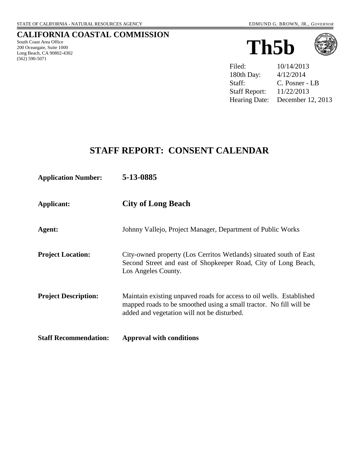## **CALIFORNIA COASTAL COMMISSION**

South Coast Area Office 200 Oceangate, Suite 1000 Long Beach, CA 90802-4302 (562) 590-5071





Filed:  $10/14/2013$ 180th Day: 4/12/2014 Staff: C. Posner - LB Staff Report: 11/22/2013 Hearing Date: December 12, 2013

## **STAFF REPORT: CONSENT CALENDAR**

| <b>Application Number:</b>   | 5-13-0885                                                                                                                                                                                 |
|------------------------------|-------------------------------------------------------------------------------------------------------------------------------------------------------------------------------------------|
| <b>Applicant:</b>            | <b>City of Long Beach</b>                                                                                                                                                                 |
| Agent:                       | Johnny Vallejo, Project Manager, Department of Public Works                                                                                                                               |
| <b>Project Location:</b>     | City-owned property (Los Cerritos Wetlands) situated south of East<br>Second Street and east of Shopkeeper Road, City of Long Beach,<br>Los Angeles County.                               |
| <b>Project Description:</b>  | Maintain existing unpaved roads for access to oil wells. Established<br>mapped roads to be smoothed using a small tractor. No fill will be<br>added and vegetation will not be disturbed. |
| <b>Staff Recommendation:</b> | <b>Approval with conditions</b>                                                                                                                                                           |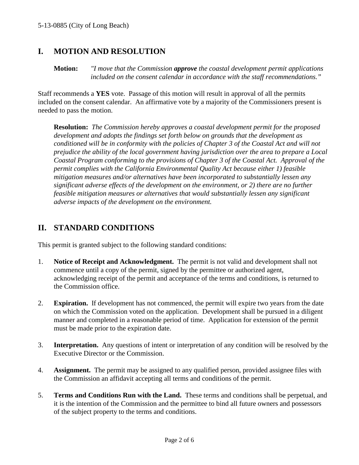## **I. MOTION AND RESOLUTION**

**Motion:** *"I move that the Commission approve the coastal development permit applications included on the consent calendar in accordance with the staff recommendations."*

Staff recommends a **YES** vote. Passage of this motion will result in approval of all the permits included on the consent calendar. An affirmative vote by a majority of the Commissioners present is needed to pass the motion.

**Resolution:** *The Commission hereby approves a coastal development permit for the proposed development and adopts the findings set forth below on grounds that the development as conditioned will be in conformity with the policies of Chapter 3 of the Coastal Act and will not prejudice the ability of the local government having jurisdiction over the area to prepare a Local Coastal Program conforming to the provisions of Chapter 3 of the Coastal Act. Approval of the permit complies with the California Environmental Quality Act because either 1) feasible mitigation measures and/or alternatives have been incorporated to substantially lessen any significant adverse effects of the development on the environment, or 2) there are no further feasible mitigation measures or alternatives that would substantially lessen any significant adverse impacts of the development on the environment.*

## **II. STANDARD CONDITIONS**

This permit is granted subject to the following standard conditions:

- 1. **Notice of Receipt and Acknowledgment.** The permit is not valid and development shall not commence until a copy of the permit, signed by the permittee or authorized agent, acknowledging receipt of the permit and acceptance of the terms and conditions, is returned to the Commission office.
- 2. **Expiration.** If development has not commenced, the permit will expire two years from the date on which the Commission voted on the application. Development shall be pursued in a diligent manner and completed in a reasonable period of time. Application for extension of the permit must be made prior to the expiration date.
- 3. **Interpretation.** Any questions of intent or interpretation of any condition will be resolved by the Executive Director or the Commission.
- 4. **Assignment.** The permit may be assigned to any qualified person, provided assignee files with the Commission an affidavit accepting all terms and conditions of the permit.
- 5. **Terms and Conditions Run with the Land.** These terms and conditions shall be perpetual, and it is the intention of the Commission and the permittee to bind all future owners and possessors of the subject property to the terms and conditions.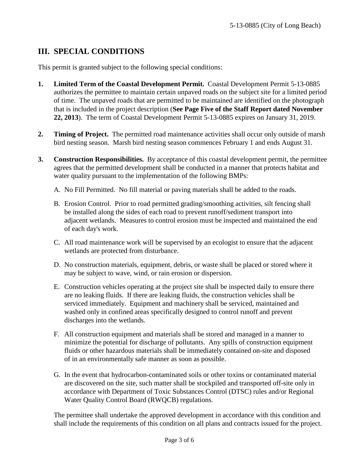## **III. SPECIAL CONDITIONS**

This permit is granted subject to the following special conditions:

- **1. Limited Term of the Coastal Development Permit.** Coastal Development Permit 5-13-0885 authorizes the permittee to maintain certain unpaved roads on the subject site for a limited period of time. The unpaved roads that are permitted to be maintained are identified on the photograph that is included in the project description (**See Page Five of the Staff Report dated November 22, 2013**). The term of Coastal Development Permit 5-13-0885 expires on January 31, 2019.
- **2. Timing of Project.** The permitted road maintenance activities shall occur only outside of marsh bird nesting season. Marsh bird nesting season commences February 1 and ends August 31.
- **3. Construction Responsibilities.** By acceptance of this coastal development permit, the permittee agrees that the permitted development shall be conducted in a manner that protects habitat and water quality pursuant to the implementation of the following BMPs:
	- A. No Fill Permitted. No fill material or paving materials shall be added to the roads.
	- B. Erosion Control. Prior to road permitted grading/smoothing activities, silt fencing shall be installed along the sides of each road to prevent runoff/sediment transport into adjacent wetlands. Measures to control erosion must be inspected and maintained the end of each day's work.
	- C. All road maintenance work will be supervised by an ecologist to ensure that the adjacent wetlands are protected from disturbance.
	- D. No construction materials, equipment, debris, or waste shall be placed or stored where it may be subject to wave, wind, or rain erosion or dispersion.
	- E. Construction vehicles operating at the project site shall be inspected daily to ensure there are no leaking fluids. If there are leaking fluids, the construction vehicles shall be serviced immediately. Equipment and machinery shall be serviced, maintained and washed only in confined areas specifically designed to control runoff and prevent discharges into the wetlands.
	- F. All construction equipment and materials shall be stored and managed in a manner to minimize the potential for discharge of pollutants. Any spills of construction equipment fluids or other hazardous materials shall be immediately contained on-site and disposed of in an environmentally safe manner as soon as possible.
	- G. In the event that hydrocarbon-contaminated soils or other toxins or contaminated material are discovered on the site, such matter shall be stockpiled and transported off-site only in accordance with Department of Toxic Substances Control (DTSC) rules and/or Regional Water Quality Control Board (RWQCB) regulations.

The permittee shall undertake the approved development in accordance with this condition and shall include the requirements of this condition on all plans and contracts issued for the project.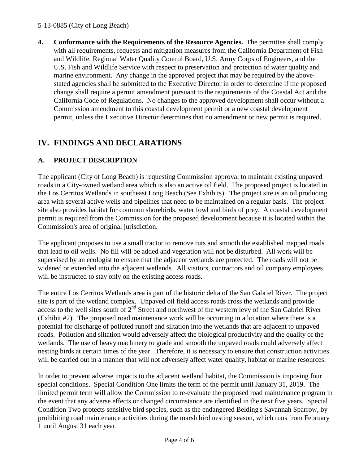#### 5-13-0885 (City of Long Beach)

**4. Conformance with the Requirements of the Resource Agencies.** The permittee shall comply with all requirements, requests and mitigation measures from the California Department of Fish and Wildlife, Regional Water Quality Control Board, U.S. Army Corps of Engineers, and the U.S. Fish and Wildlife Service with respect to preservation and protection of water quality and marine environment. Any change in the approved project that may be required by the abovestated agencies shall be submitted to the Executive Director in order to determine if the proposed change shall require a permit amendment pursuant to the requirements of the Coastal Act and the California Code of Regulations. No changes to the approved development shall occur without a Commission amendment to this coastal development permit or a new coastal development permit, unless the Executive Director determines that no amendment or new permit is required.

# **IV. FINDINGS AND DECLARATIONS**

## **A. PROJECT DESCRIPTION**

The applicant (City of Long Beach) is requesting Commission approval to maintain existing unpaved roads in a City-owned wetland area which is also an active oil field. The proposed project is located in the Los Cerritos Wetlands in southeast Long Beach (See Exhibits). The project site is an oil producing area with several active wells and pipelines that need to be maintained on a regular basis. The project site also provides habitat for common shorebirds, water fowl and birds of prey. A coastal development permit is required from the Commission for the proposed development because it is located within the Commission's area of original jurisdiction.

The applicant proposes to use a small tractor to remove ruts and smooth the established mapped roads that lead to oil wells. No fill will be added and vegetation will not be disturbed. All work will be supervised by an ecologist to ensure that the adjacent wetlands are protected. The roads will not be widened or extended into the adjacent wetlands. All visitors, contractors and oil company employees will be instructed to stay only on the existing access roads.

The entire Los Cerritos Wetlands area is part of the historic delta of the San Gabriel River. The project site is part of the wetland complex. Unpaved oil field access roads cross the wetlands and provide access to the well sites south of 2<sup>nd</sup> Street and northwest of the western levy of the San Gabriel River (Exhibit #2). The proposed road maintenance work will be occurring in a location where there is a potential for discharge of polluted runoff and siltation into the wetlands that are adjacent to unpaved roads. Pollution and siltation would adversely affect the biological productivity and the quality of the wetlands. The use of heavy machinery to grade and smooth the unpaved roads could adversely affect nesting birds at certain times of the year. Therefore, it is necessary to ensure that construction activities will be carried out in a manner that will not adversely affect water quality, habitat or marine resources.

In order to prevent adverse impacts to the adjacent wetland habitat, the Commission is imposing four special conditions. Special Condition One limits the term of the permit until January 31, 2019. The limited permit term will allow the Commission to re-evaluate the proposed road maintenance program in the event that any adverse effects or changed circumstance are identified in the next five years. Special Condition Two protects sensitive bird species, such as the endangered Belding's Savannah Sparrow, by prohibiting road maintenance activities during the marsh bird nesting season, which runs from February 1 until August 31 each year.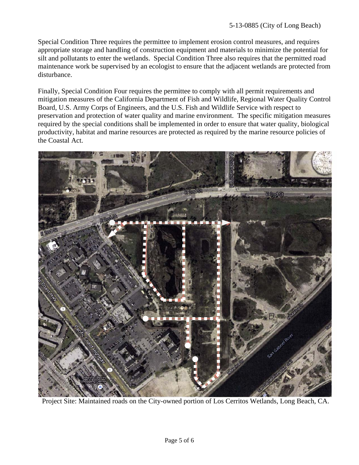Special Condition Three requires the permittee to implement erosion control measures, and requires appropriate storage and handling of construction equipment and materials to minimize the potential for silt and pollutants to enter the wetlands. Special Condition Three also requires that the permitted road maintenance work be supervised by an ecologist to ensure that the adjacent wetlands are protected from disturbance.

Finally, Special Condition Four requires the permittee to comply with all permit requirements and mitigation measures of the California Department of Fish and Wildlife, Regional Water Quality Control Board, U.S. Army Corps of Engineers, and the U.S. Fish and Wildlife Service with respect to preservation and protection of water quality and marine environment. The specific mitigation measures required by the special conditions shall be implemented in order to ensure that water quality, biological productivity, habitat and marine resources are protected as required by the marine resource policies of the Coastal Act.



Project Site: Maintained roads on the City-owned portion of Los Cerritos Wetlands, Long Beach, CA.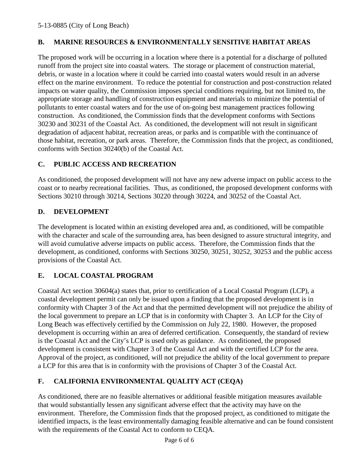#### **B. MARINE RESOURCES & ENVIRONMENTALLY SENSITIVE HABITAT AREAS**

The proposed work will be occurring in a location where there is a potential for a discharge of polluted runoff from the project site into coastal waters. The storage or placement of construction material, debris, or waste in a location where it could be carried into coastal waters would result in an adverse effect on the marine environment. To reduce the potential for construction and post-construction related impacts on water quality, the Commission imposes special conditions requiring, but not limited to, the appropriate storage and handling of construction equipment and materials to minimize the potential of pollutants to enter coastal waters and for the use of on-going best management practices following construction. As conditioned, the Commission finds that the development conforms with Sections 30230 and 30231 of the Coastal Act. As conditioned, the development will not result in significant degradation of adjacent habitat, recreation areas, or parks and is compatible with the continuance of those habitat, recreation, or park areas. Therefore, the Commission finds that the project, as conditioned, conforms with Section 30240(b) of the Coastal Act.

### **C. PUBLIC ACCESS AND RECREATION**

As conditioned, the proposed development will not have any new adverse impact on public access to the coast or to nearby recreational facilities. Thus, as conditioned, the proposed development conforms with Sections 30210 through 30214, Sections 30220 through 30224, and 30252 of the Coastal Act.

#### **D. DEVELOPMENT**

The development is located within an existing developed area and, as conditioned, will be compatible with the character and scale of the surrounding area, has been designed to assure structural integrity, and will avoid cumulative adverse impacts on public access. Therefore, the Commission finds that the development, as conditioned, conforms with Sections 30250, 30251, 30252, 30253 and the public access provisions of the Coastal Act.

### **E. LOCAL COASTAL PROGRAM**

Coastal Act section 30604(a) states that, prior to certification of a Local Coastal Program (LCP), a coastal development permit can only be issued upon a finding that the proposed development is in conformity with Chapter 3 of the Act and that the permitted development will not prejudice the ability of the local government to prepare an LCP that is in conformity with Chapter 3. An LCP for the City of Long Beach was effectively certified by the Commission on July 22, 1980. However, the proposed development is occurring within an area of deferred certification. Consequently, the standard of review is the Coastal Act and the City's LCP is used only as guidance. As conditioned, the proposed development is consistent with Chapter 3 of the Coastal Act and with the certified LCP for the area. Approval of the project, as conditioned, will not prejudice the ability of the local government to prepare a LCP for this area that is in conformity with the provisions of Chapter 3 of the Coastal Act.

### **F. CALIFORNIA ENVIRONMENTAL QUALITY ACT (CEQA)**

As conditioned, there are no feasible alternatives or additional feasible mitigation measures available that would substantially lessen any significant adverse effect that the activity may have on the environment. Therefore, the Commission finds that the proposed project, as conditioned to mitigate the identified impacts, is the least environmentally damaging feasible alternative and can be found consistent with the requirements of the Coastal Act to conform to CEQA.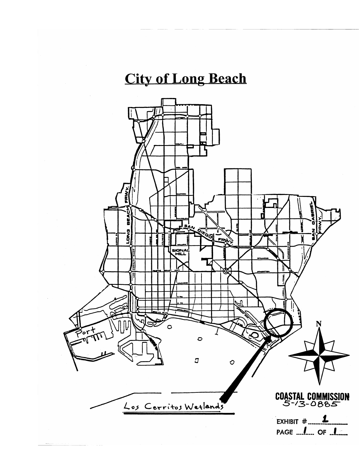# **City of Long Beach**